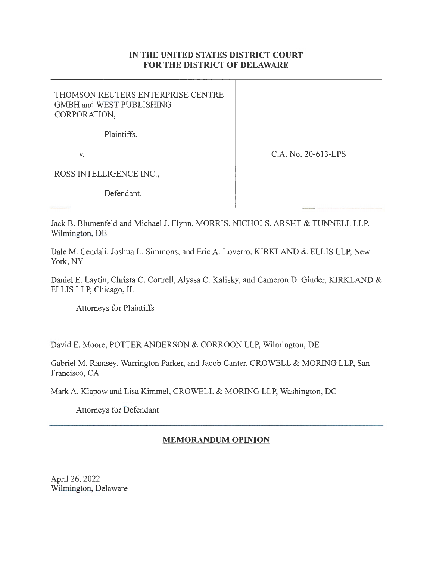## IN **THE UNITED STATES DISTRICT COURT FOR THE DISTRICT OF DELAWARE**

| THOMSON REUTERS ENTERPRISE CENTRE<br>GMBH and WEST PUBLISHING<br>CORPORATION, |                     |
|-------------------------------------------------------------------------------|---------------------|
| Plaintiffs,                                                                   |                     |
| V.                                                                            | C.A. No. 20-613-LPS |
| ROSS INTELLIGENCE INC.,                                                       |                     |
| Defendant.                                                                    |                     |

Jack B. Blumenfeld and Michael J. Flynn, MORRIS, NICHOLS, ARSHT & TUNNELL LLP, Wilmington, DE

Dale M. Cendali, Joshua L. Simmons, and Eric A. Loverro, KIRKLAND & ELLIS LLP, New York, NY

Daniel E. Laytin, Christa C. Cottrell, Alyssa C. Kalisky, and Cameron D. Ginder, KIRKLAND & ELLIS LLP, Chicago, IL

Attorneys for Plaintiffs

David E. Moore, POTTER ANDERSON & CORROON LLP, Wilmington, DE

Gabriel M. Ramsey, Warrington Parker, and Jacob Canter, CROWELL & MORING LLP, San Francisco, CA

Mark A. Klapow and Lisa Kimmel, CROWELL & MORING LLP, Washington, DC

Attorneys for Defendant

# **MEMORANDUM OPINION**

April 26, 2022 Wilmington, Delaware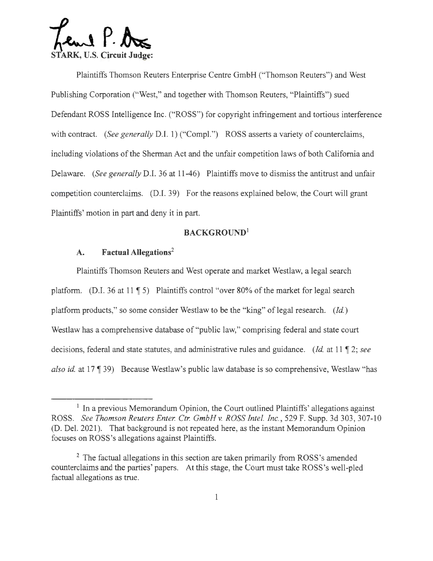$\Omega$   $P.$   $R$ **STARK, U.S. Circuit Judge:** 

Plaintiffs Thomson Reuters Enterprise Centre GmbH ("Thomson Reuters") and West Publishing Corporation ("West," and together with Thomson Reuters, "Plaintiffs") sued Defendant ROSS Intelligence Inc. ("ROSS") for copyright infringement and tortious interference with contract. *(See generally D.I. 1)* ("Compl.") ROSS asserts a variety of counterclaims, including violations of the Sherman Act and the unfair competition laws of both California and Delaware. *(See generally* D.I. 36 at 11-46) Plaintiffs move to dismiss the antitrust and unfair competition counterclaims. (D.I. 39) For the reasons explained below, the Court will grant Plaintiffs' motion in part and deny it in part.

## **BACKGROUND<sup>1</sup>**

## **A. Factual Allegations<sup>2</sup>**

Plaintiffs Thomson Reuters and West operate and market Westlaw, a legal search platform. (D.I. 36 at 11  $\parallel$  5) Plaintiffs control "over 80% of the market for legal search platform products," so some consider Westlaw to be the "king" of legal research. *(Id.)*  Westlaw has a comprehensive database of "public law," comprising federal and state court decisions, federal and state statutes, and administrative rules and guidance. *(Id. at 11* 12; *see also id.* at 17 (139) Because Westlaw's public law database is so comprehensive, Westlaw "has

 $<sup>1</sup>$  In a previous Memorandum Opinion, the Court outlined Plaintiffs' allegations against</sup> ROSS. *See Thomson Reuters Enter. Ctr. GmbH v. ROSS Intel. Inc.,* 529 F. Supp. 3d 303, 307-10 (D. Del. 2021). That background is not repeated here, as the instant Memorandum Opinion focuses on ROSS 's allegations against Plaintiffs.

 $2$  The factual allegations in this section are taken primarily from ROSS's amended counterclaims and the parties' papers. At this stage, the Court must take ROSS's well-pled factual allegations as true.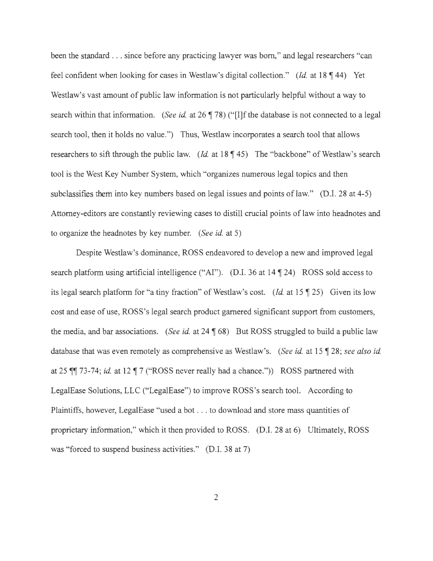been the standard . . . since before any practicing lawyer was born," and legal researchers "can feel confident when looking for cases in Westlaw's digital collection." *(Id. at 18* 144) Yet Westlaw's vast amount of public law information is not particularly helpful without a way to search within that information. *(See id.* at 26 ¶ 78) ("[I]f the database is not connected to a legal search tool, then it holds no value.") Thus, Westlaw incorporates a search tool that allows researchers to sift through the public law. *(Id.* at 18 ¶ 45) The "backbone" of Westlaw's search tool is the West Key Number System, which "organizes numerous legal topics and then subclassifies them into key numbers based on legal issues and points of law." (D.I. 28 at 4-5) Attorney-editors are constantly reviewing cases to distill crucial points of law into headnotes and to organize the headnotes by key number. *(See id.* at 5)

Despite Westlaw's dominance, ROSS endeavored to develop a new and improved legal search platform using artificial intelligence ("AI"). (D.I. 36 at  $14 \sqrt{24}$ ) ROSS sold access to its legal search platform for "a tiny fraction" of Westlaw's cost. *(Id. at 15* 125) Given its low cost and ease of use, ROSS's legal search product garnered significant support from customers, the media, and bar associations. *(See id.* at 24 \fightarrow But ROSS struggled to build a public law database that was even remotely as comprehensive as Westlaw's. *(See id. at 15* ¶ 28; *see also id. derivals* at 25 **f** 73-74; *id.* at 12 **f** 7 ("ROSS never really had a chance.")) ROSS partnered with LegalEase Solutions, LLC ("LegalEase") to improve ROSS 's search tool. According to Plaintiffs, however, LegalEase "used a bot ... to download and store mass quantities of proprietary information," which it then provided to ROSS. (D.I. 28 at 6) Ultimately, ROSS was "forced to suspend business activities." (D.I. 38 at 7)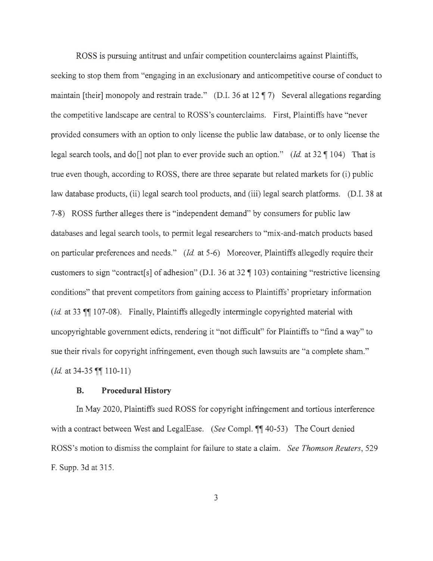ROSS is pursuing antitrust and unfair competition counterclaims against Plaintiffs,

seeking to stop them from "engaging in an exclusionary and anticompetitive course of conduct to maintain [their] monopoly and restrain trade." (D.I. 36 at 12 ¶ 7) Several allegations regarding the competitive landscape are central to ROSS's counterclaims. First, Plaintiffs have "never provided consumers with an option to only license the public law database, or to only license the legal search tools, and do<sup>[]</sup> not plan to ever provide such an option." *(Id.* at 32  $\P$  104) That is true even though, according to ROSS, there are three separate but related markets for (i) public law database products, (ii) legal search tool products, and (iii) legal search platforms. (D.I. 38 at 7-8) ROSS further alleges there is "independent demand" by consumers for public law databases and legal search tools, to permit legal researchers to "mix-and-match products based on particular preferences and needs." *(Id.* at 5-6) Moreover, Plaintiffs allegedly require their customers to sign "contract[s] of adhesion" (D.I. 36 at 32 \[ 103) containing "restrictive licensing conditions" that prevent competitors from gaining access to Plaintiffs' proprietary information (id. at 33  $\mathbb{I}$  107-08). Finally, Plaintiffs allegedly intermingle copyrighted material with uncopyrightable government edicts, rendering it "not difficult" for Plaintiffs to "find a way" to sue their rivals for copyright infringement, even though such lawsuits are "a complete sham." *(Id.* at 34-35  $\P\P$  110-11)

#### **B. Procedural History**

In May 2020, Plaintiffs sued ROSS for copyright infringement and tortious interference with a contract between West and LegalEase. *(See Compl.* **1140-53)** The Court denied ROSS's motion to dismiss the complaint for failure to state a claim. *See Thomson Reuters,* 529 F. Supp. 3d at 315.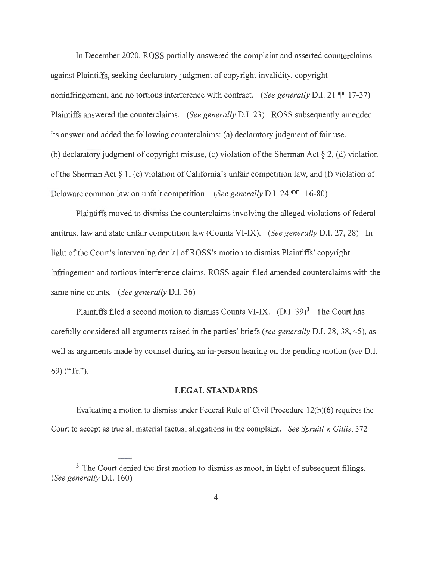In December 2020, ROSS partially answered the complaint and asserted counterclaims against Plaintiffs, seeking declaratory judgment of copyright invalidity, copyright noninfringement, and no tortious interference with contract. *(See generally D.I. 21* **17** 17-37) Plaintiffs answered the counterclaims. *(See generally* D.I. 23) ROSS subsequently amended its answer and added the following counterclaims: (a) declaratory judgment of fair use, (b) declaratory judgment of copyright misuse, (c) violation of the Sherman Act  $\S 2$ , (d) violation of the Sherman Act§ 1, (e) violation of California's unfair competition law, and (f) violation of Delaware common law on unfair competition. *(See generally D.I. 24* **116-80)** 

Plaintiffs moved to dismiss the counterclaims involving the alleged violations of federal antitrust law and state unfair competition law (Counts VI-IX). *(See generally* D.I. 27, 28) In light of the Court's intervening denial of ROSS's motion to dismiss Plaintiffs' copyright infringement and tortious interference claims, ROSS again filed amended counterclaims with the same nine counts. *(See generally* D.I. 36)

Plaintiffs filed a second motion to dismiss Counts VI-IX.  $(D.I. 39)^3$  The Court has carefully considered all arguments raised in the parties' briefs *(see generally* D.I. 28, 38, 45), as well as arguments made by counsel during an in-person hearing on the pending motion *(see* D.I. 69) ("Tr.").

### **LEGAL STANDARDS**

Evaluating a motion to dismiss under Federal Rule of Civil Procedure  $12(b)(6)$  requires the Court to accept as true all material factual allegations in the complaint. *See Spruill v. Gillis,* 372

<sup>&</sup>lt;sup>3</sup> The Court denied the first motion to dismiss as moot, in light of subsequent filings. *(See generally* D.I. 160)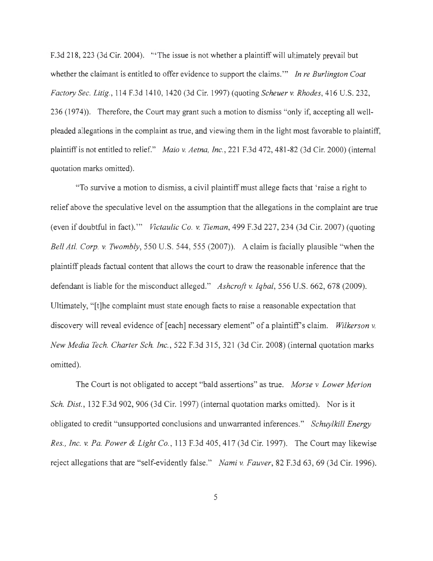F.3d 218, 223 (3d Cir. 2004). "The issue is not whether a plaintiff will ultimately prevail but whether the claimant is entitled to offer evidence to support the claims."' *In re Burlington Coat Factory Sec. Litig.,* 114 F.3d 1410, 1420 (3d Cir. 1997) (quoting *Scheuer v. Rhodes,* 416 U.S. 232, 236 (1974)). Therefore, the Court may grant such a motion to dismiss "only if, accepting all wellpleaded allegations in the complaint as true, and viewing them in the light most favorable to plaintiff, plaintiff is not entitled to relief." *Maio v. Aetna, Inc. ,* 221 F.3d 472, 481-82 (3d Cir. 2000) (internal quotation marks omitted).

"To survive a motion to dismiss, a civil plaintiff must allege facts that 'raise a right to relief above the speculative level on the assumption that the allegations in the complaint are true ( even if doubtful in fact)."' *Victaulic Co. v. Tieman,* 499 F.3d 227, 234 (3d Cir. 2007) ( quoting *Bell Atl. Corp. v. Twombly,* 550 U.S. 544, 555 (2007)). A claim is facially plausible "when the plaintiff pleads factual content that allows the court to draw the reasonable inference that the defendant is liable for the misconduct alleged." *Ashcroft v. Iqbal,* 556 U.S. 662, 678 (2009). Ultimately, "[t]he complaint must state enough facts to raise a reasonable expectation that discovery will reveal evidence of [each] necessary element" of a plaintiff's claim. *Wilkerson v. New Media Tech. Charter Sch. Inc.,* 522 F.3d 315, 321 (3d Cir. 2008) (internal quotation marks omitted).

The Court is not obligated to accept "bald assertions" as true. *Morse v. Lower Merion Sch. Dist.,* 132 F.3d 902, 906 (3d Cir. 1997) (internal quotation marks omitted). Nor is it obligated to credit "unsupported conclusions and unwarranted inferences." *Schuylkill Energy Res., Inc.* v. *Pa. Power & Light Co.,* 113 F.3d 405,417 (3d Cir. 1997). The Court may likewise reject allegations that are "self-evidently false." *Nami v. Fauver,* 82 F.3d 63, 69 (3d Cir. 1996).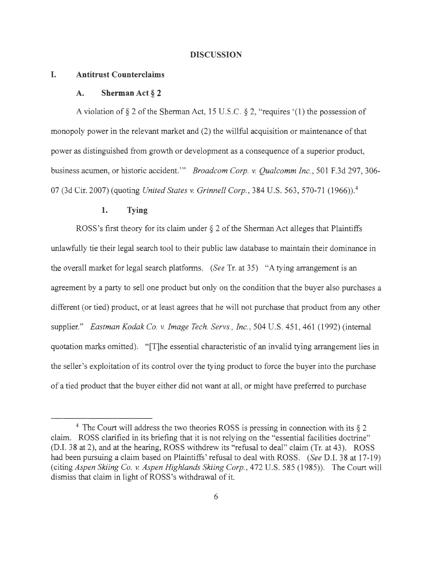#### **DISCUSSION**

#### **I. Antitrust Counterclaims**

#### **A. Sherman Act § 2**

A violation of  $\S 2$  of the Sherman Act, 15 U.S.C.  $\S 2$ , "requires '(1) the possession of monopoly power in the relevant market and (2) the willful acquisition or maintenance of that power as distinguished from growth or development as a consequence of a superior product, business acumen, or historic accident."' *Broadcom Corp.* v. *Qualcomm Inc.,* 501 F.3d 297, 306- 07 (3d Cir. 2007) (quoting *United States v. Grinnell Corp.,* 384 U.S. 563, 570-71 (1966)). <sup>4</sup>

### **1. Tying**

ROSS's first theory for its claim under  $\S 2$  of the Sherman Act alleges that Plaintiffs unlawfully tie their legal search tool to their public law database to maintain their dominance in the overall market for legal search platforms. *(See* Tr. at 35) "A tying arrangement is an agreement by a party to sell one product but only on the condition that the buyer also purchases a different (or tied) product, or at least agrees that he will not purchase that product from any other supplier." *Eastman Kodak Co. v. Image Tech. Servs., Inc. ,* 504 U.S. 451 , 461 (1992) (internal quotation marks omitted). "[T]he essential characteristic of an invalid tying arrangement lies in the seller's exploitation of its control over the tying product to force the buyer into the purchase of a tied product that the buyer either did not want at all, or might have preferred to purchase

 $4$  The Court will address the two theories ROSS is pressing in connection with its  $\S 2$ claim. ROSS clarified in its briefing that it is not relying on the "essential facilities doctrine" (D.I. 38 at 2), and at the hearing, ROSS withdrew its "refusal to deal" claim (Tr. at 43). ROSS had been pursuing a claim based on Plaintiffs' refusal to deal with ROSS. *(See* D.I. 38 at 17-19) (citing *Aspen Skiing Co. v. Aspen Highlands Skiing Corp.,* 472 U.S. 585 (1985)). The Court will dismiss that claim in light of ROSS 's withdrawal of it.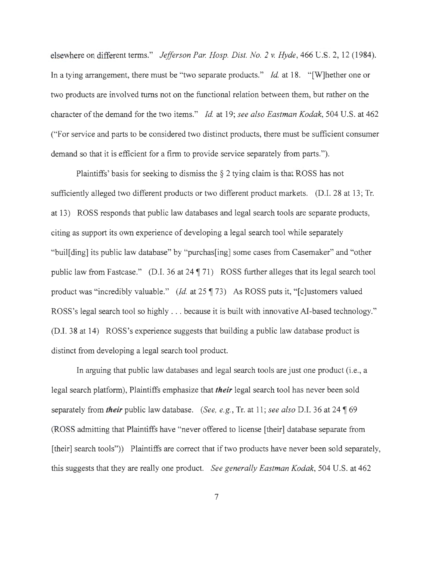elsewhere on different terms." *Jefferson Par. Hosp. Dist. No. 2 v. Hyde,* 466 U.S. 2, 12 (1984). In a tying arrangement, there must be "two separate products." *Id.* at 18. "[W]hether one or two products are involved turns not on the functional relation between them, but rather on the character of the demand for the two items." *Id.* at 19; *see also Eastman Kodak,* 504 U.S. at 462 ("For service and parts to be considered two distinct products, there must be sufficient consumer demand so that it is efficient for a firm to provide service separately from parts.").

Plaintiffs' basis for seeking to dismiss the  $\S$  2 tying claim is that ROSS has not sufficiently alleged two different products or two different product markets. (D.I. 28 at 13; Tr. at 13) ROSS responds that public law databases and legal search tools are separate products, citing as support its own experience of developing a legal search tool while separately "buil[ ding] its public law database" by "purchas[ing] some cases from Casemaker" and "other public law from Fastcase." (D.I. 36 at 24 ¶ 71) ROSS further alleges that its legal search tool product was "incredibly valuable." (Id. at 25  $\parallel$  73) As ROSS puts it, " [c]ustomers valued ROSS's legal search tool so highly . . . because it is built with innovative AI-based technology." (D.I. 38 at 14) ROSS's experience suggests that building a public law database product is distinct from developing a legal search tool product.

In arguing that public law databases and legal search tools are just one product (i.e., a legal search platform), Plaintiffs emphasize that *their* legal search tool has never been sold separately from *their* public law database. *(See, e.g., Tr. at 11; see also D.I. 36 at 24* \, 69) (ROSS admitting that Plaintiffs have "never offered to license [their] database separate from [their] search tools")) Plaintiffs are correct that if two products have never been sold separately, this suggests that they are really one product. *See generally Eastman Kodak,* 504 U.S. at 462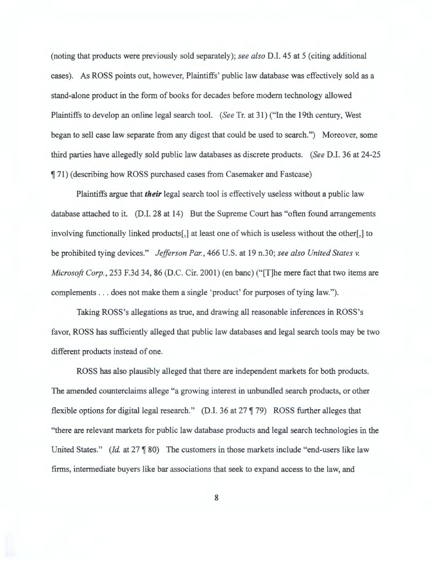(noting that products were previously sold separately); *see also* D.I. 45 at 5 (citing additional cases). As ROSS points out, however, Plaintiffs' public law database was effectively sold as a stand-alone product in the form of books for decades before modem technology allowed Plaintiffs to develop an online legal search tool. *(See* Tr. at 31) ("In the 19th century, West began to sell case law separate from any digest that could be used to search.") Moreover, some third parties have allegedly sold public law databases as discrete products. *(See* D.I. 36 at 24-25 **[71]** (describing how ROSS purchased cases from Casemaker and Fastcase)

Plaintiffs argue that *their* legal search tool is effectively useless without a public law database attached to it. (D.I. 28 at 14) But the Supreme Court has "often found arrangements involving functionally linked products[,] at least one of which is useless without the other[,] to be prohibited tying devices." *Jefferson Par. ,* 466 U.S. at 19 n.30; *see also United States v. Microsoft Corp.,* 253 F.3d 34, 86 (D.C. Cir. 2001) (en bane) ("[T]he mere fact that two items are complements ... does not make them a single 'product' for purposes of tying law.").

Taking ROSS's allegations as true, and drawing all reasonable inferences in ROSS's favor, ROSS has sufficiently alleged that public law databases and legal search tools may be two different products instead of one.

ROSS has also plausibly alleged that there are independent markets for both products. The amended counterclaims allege "a growing interest in unbundled search products, or other flexible options for digital legal research." (D.I. 36 at 27 | 79) ROSS further alleges that "there are relevant markets for public law database products and legal search technologies in the United States." *(Id. at 27* \ 80) The customers in those markets include "end-users like law firms, intermediate buyers like bar associations that seek to expand access to the law, and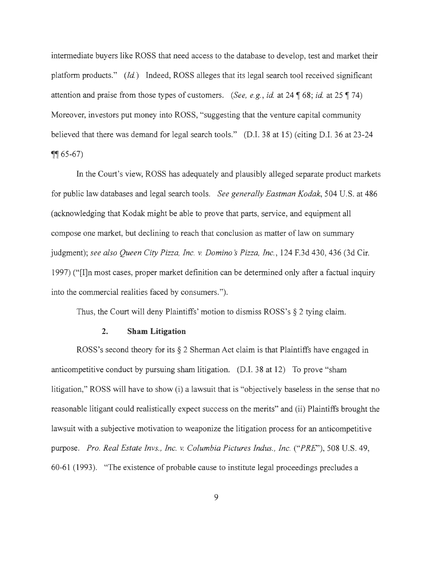intermediate buyers like ROSS that need access to the database to develop, test and market their platform products." *(Id.)* Indeed, ROSS alleges that its legal search tool received significant attention and praise from those types of customers. *(See, e.g., id.* at 24  $\parallel$  68; *id.* at 25  $\parallel$  74) Moreover, investors put money into ROSS, "suggesting that the venture capital community believed that there was demand for legal search tools." (D.I. 38 at 15) (citing D.I. 36 at 23-24  $\P$ <sup> $\left($ </sup> 65-67)

In the Court's view, ROSS has adequately and plausibly alleged separate product markets for public law databases and legal search tools. *See generally Eastman Kodak,* 504 U.S. at 486 ( acknowledging that Kodak might be able to prove that parts, service, and equipment all compose one market, but declining to reach that conclusion as matter of law on summary judgment); *see also Queen City Pizza, Inc. v. Domino s Pizza, Inc.,* 124 F.3d 430, 436 (3d Cir. 1997) ("I]n most cases, proper market definition can be determined only after a factual inquiry into the commercial realities faced by consumers.").

Thus, the Court will deny Plaintiffs' motion to dismiss ROSS's § 2 tying claim.

#### **2. Sham Litigation**

ROSS's second theory for its § 2 Sherman Act claim is that Plaintiffs have engaged in anticompetitive conduct by pursuing sham litigation. (D.I. 38 at 12) To prove "sham litigation," ROSS will have to show (i) a lawsuit that is "objectively baseless in the sense that no reasonable litigant could realistically expect success on the merits" and (ii) Plaintiffs brought the lawsuit with a subjective motivation to weaponize the litigation process for an anticompetitive purpose. *Pro. Real Estate Invs. , Inc. v. Columbia Pictures Indus., Inc. ("PRE''),* 508 U.S. 49, 60-61 (1993). "The existence of probable cause to institute legal proceedings precludes a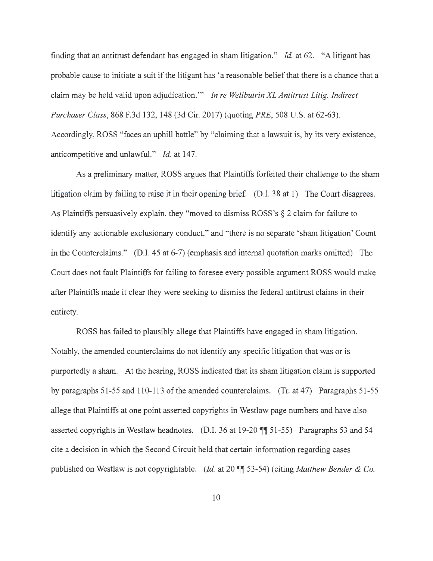finding that an antitrust defendant has engaged in sham litigation." *Id* at 62. "A litigant has probable cause to initiate a suit if the litigant has 'a reasonable belief that there is a chance that a claim may be held valid upon adjudication.'" *In re Wellbutrin XL Antitrust Litig. Indirect Purchaser Class,* 868 F.3d 132, 148 (3d Cir. 2017) (quoting *PRE:,* 508 U.S. at 62-63). Accordingly, ROSS "faces an uphill battle" by "claiming that a lawsuit is, by its very existence, anticompetitive and unlawful." *Id.* at 147.

As a preliminary matter, ROSS argues that Plaintiffs forfeited their challenge to the sham litigation claim by failing to raise it in their opening brief. (D.I. 38 at 1) The Court disagrees. As Plaintiffs persuasively explain, they "moved to dismiss ROSS 's § 2 claim for failure to identify any actionable exclusionary conduct," and "there is no separate 'sham litigation' Count in the Counterclaims." (D.I. 45 at 6-7) (emphasis and internal quotation marks omitted) The Court does not fault Plaintiffs for failing to foresee every possible argument ROSS would make after Plaintiffs made it clear they were seeking to dismiss the federal antitrust claims in their entirety.

ROSS has failed to plausibly allege that Plaintiffs have engaged in sham litigation. Notably, the amended counterclaims do not identify any specific litigation that was or is purportedly a sham. At the hearing, ROSS indicated that its sham litigation claim is supported by paragraphs 51-55 and 110-113 of the amended counterclaims. (Tr. at 47) Paragraphs 51-55 allege that Plaintiffs at one point asserted copyrights in Westlaw page numbers and have also asserted copyrights in Westlaw headnotes. (D.I. 36 at 19-20 **11** 51-55) Paragraphs 53 and 54 cite a decision in which the Second Circuit held that certain information regarding cases published on Westlaw is not copyrightable. *(Id. at 20*  $\P$  53-54) (citing *Matthew Bender & Co.*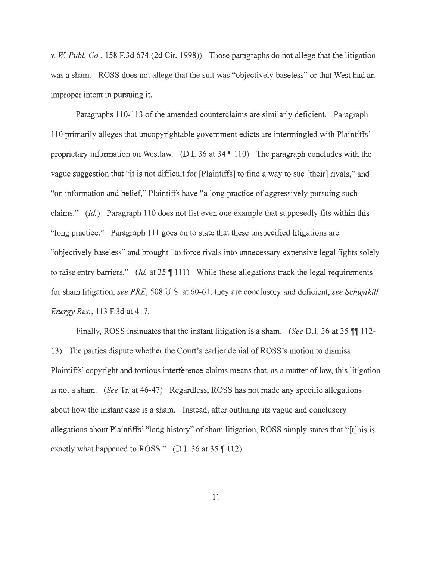*v. W Pub!. Co.,* 158 F.3d 674 (2d Cir. 1998)) Those paragraphs do not allege that the litigation was a sham. ROSS does not allege that the suit was "objectively baseless" or that West had an improper intent in pursuing it.

Paragraphs 110-113 of the amended counterclaims are similarly deficient. Paragraph 110 primarily alleges that uncopyrightable government edicts are intermingled with Plaintiffs' proprietary information on Westlaw. (D.I. 36 at  $34 \text{ } \sqrt{}110$ ) The paragraph concludes with the vague suggestion that "it is not difficult for [Plaintiffs] to find a way to sue [their] rivals," and "on information and belief," Plaintiffs have "a long practice of aggressively pursuing such claims." *(Id)* Paragraph 110 does not list even one example that supposedly fits within this "long practice." Paragraph 111 goes on to state that these unspecified litigations are "objectively baseless" and brought "to force rivals into unnecessary expensive legal fights solely to raise entry barriers." *(Id.* at 35  $\P$  111) While these allegations track the legal requirements for sham litigation, *see PRE,* 508 U.S. at 60-61 , they are conclusory and deficient, *see Schuylkill Energy Res.,* 113 F.3d at 417.

Finally, ROSS insinuates that the instant litigation is a sham. *(See* D.I. 36 at 35 **11** 112- 13) The parties dispute whether the Court's earlier denial of ROSS's motion to dismiss Plaintiffs' copyright and tortious interference claims means that, as a matter of law, this litigation is not a sham. *(See* Tr. at 46-47) Regardless, ROSS has not made any specific allegations about how the instant case is a sham. Instead, after outlining its vague and conclusory allegations about Plaintiffs' "long history" of sham litigation, ROSS simply states that "[t]his is exactly what happened to ROSS." (D.I. 36 at 35 **1** 112)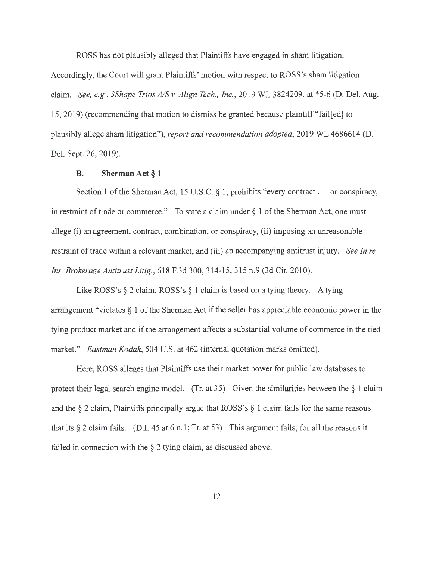ROSS has not plausibly alleged that Plaintiffs have engaged in sham litigation. Accordingly, the Court will grant Plaintiffs' motion with respect to ROSS's sham litigation claim. *See, e.g., 3Shape Trios AJS v. Align Tech. , Inc.,* 2019 WL 3824209, at \*5-6 (D. Del. Aug. 15, 2019) (recommending that motion to dismiss be granted because plaintiff"fail[ed] to plausibly allege sham litigation"), *report and recommendation adopted,* 2019 WL 4686614 (D. Del. Sept. 26, 2019).

#### **B. Sherman Act § 1**

Section 1 of the Sherman Act, 15 U.S.C. § 1, prohibits "every contract . . . or conspiracy, in restraint of trade or commerce." To state a claim under  $\S$  1 of the Sherman Act, one must allege (i) an agreement, contract, combination, or conspiracy, (ii) imposing an unreasonable restraint of trade within a relevant market, and (iii) an accompanying antitrust injury. *See In re Ins. Brokerage Antitrust Litig. ,* 618 F.3d 300, 314-15, 315 n.9 (3d Cir. 2010).

Like ROSS's  $\S 2$  claim, ROSS's  $\S 1$  claim is based on a tying theory. A tying arrangement "violates § 1 of the Sherman Act if the seller has appreciable economic power in the tying product market and if the arrangement affects a substantial volume of commerce in the tied market." *Eastman Kodak,* 504 U.S. at 462 (internal quotation marks omitted).

Here, ROSS alleges that Plaintiffs use their market power for public law databases to protect their legal search engine model. (Tr. at 35) Given the similarities between the  $\S$  1 claim and the  $\S$  2 claim, Plaintiffs principally argue that ROSS's  $\S$  1 claim fails for the same reasons that its  $\S 2$  claim fails. (D.I. 45 at 6 n.1; Tr. at 53) This argument fails, for all the reasons it failed in connection with the  $\S 2$  tying claim, as discussed above.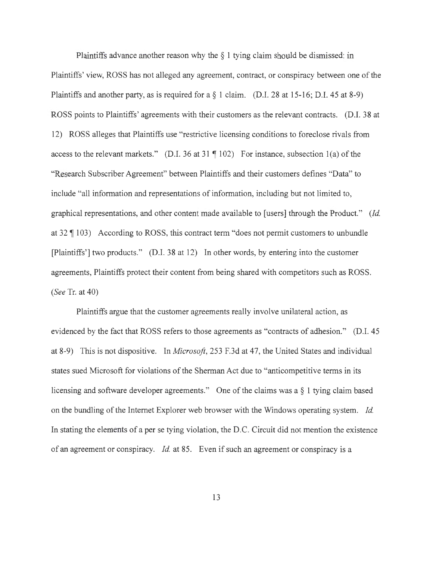Plaintiffs advance another reason why the  $\S$  1 tying claim should be dismissed: in Plaintiffs' view, ROSS has not alleged any agreement, contract, or conspiracy between one of the Plaintiffs and another party, as is required for a § 1 claim. (D.I. 28 at 15-16; D.I. 45 at 8-9) ROSS points to Plaintiffs' agreements with their customers as the relevant contracts. (D.I. 38 at 12) ROSS alleges that Plaintiffs use "restrictive licensing conditions to foreclose rivals from access to the relevant markets." (D.I. 36 at 31  $\parallel$  102) For instance, subsection 1(a) of the "Research Subscriber Agreement" between Plaintiffs and their customers defines "Data" to include "all information and representations of information, including but not limited to, graphical representations, and other content made available to [users] through the Product." *(Id.*  at  $32 \text{ } \text{T}$  103) According to ROSS, this contract term "does not permit customers to unbundle [Plaintiffs'] two products." (D.I. 38 at 12) In other words, by entering into the customer agreements, Plaintiffs protect their content from being shared with competitors such as ROSS. *(See* Tr. at 40)

Plaintiffs argue that the customer agreements really involve unilateral action, as evidenced by the fact that ROSS refers to those agreements as "contracts of adhesion." (D.I. 45 at 8-9) This is not dispositive. In *Microsoft,* 253 F.3d at 47, the United States and individual states sued Microsoft for violations of the Sherman Act due to "anticompetitive terms in its licensing and software developer agreements." One of the claims was a § 1 tying claim based on the bundling of the Internet Explorer web browser with the Windows operating system. *Id.*  In stating the elements of a per se tying violation, the D.C. Circuit did not mention the existence of an agreement or conspiracy. *Id.* at 85. Even if such an agreement or conspiracy is a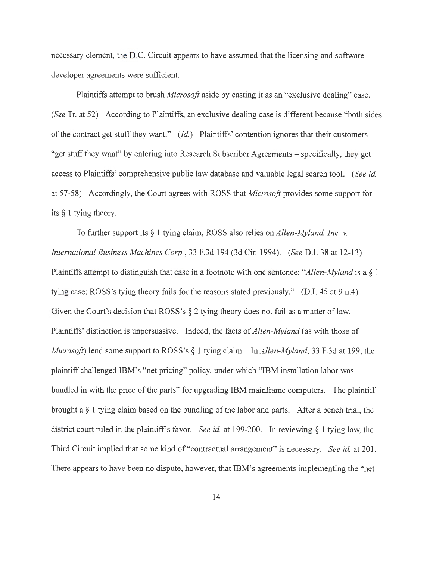necessary element, the D.C. Circuit appears to have assumed that the licensing and software developer agreements were sufficient.

Plaintiffs attempt to brush *Microsoft* aside by casting it as an "exclusive dealing" case. *(See* Tr. at 52) According to Plaintiffs, an exclusive dealing case is different because "both sides of the contract get stuff they want." *(Id. )* Plaintiffs' contention ignores that their customers "get stuff they want" by entering into Research Subscriber Agreements - specifically, they get access to Plaintiffs' comprehensive public law database and valuable legal search tool. *(See id.*  at 57-58) Accordingly, the Court agrees with ROSS that *Microsoft* provides some support for its § 1 tying theory.

To further support its § 1 tying claim, ROSS also relies on *Allen-My/and, Inc. v. International Business Machines Corp.,* 33 F.3d 194 (3d Cir. 1994). *(See* D.I. 38 at 12-13) Plaintiffs attempt to distinguish that case in a footnote with one sentence: *"Allen-My/and* is a§ 1 tying case; ROSS's tying theory fails for the reasons stated previously." (D.I. 45 at 9 n.4) Given the Court's decision that ROSS's  $\S$  2 tying theory does not fail as a matter of law, Plaintiffs' distinction is unpersuasive. Indeed, the facts of *Allen-My/and* (as with those of *Microsoft)* lend some support to ROSS's § 1 tying claim. In *Allen-My/and,* 33 F.3d at 199, the plaintiff challenged IBM's "net pricing" policy, under which "IBM installation labor was bundled in with the price of the parts" for upgrading IBM mainframe computers. The plaintiff brought a § 1 tying claim based on the bundling of the labor and parts. After a bench trial, the district court ruled in the plaintiff's favor. *See id.* at 199-200. In reviewing § 1 tying law, the Third Circuit implied that some kind of "contractual arrangement" is necessary. *See id.* at 201. There appears to have been no dispute, however, that IBM's agreements implementing the "net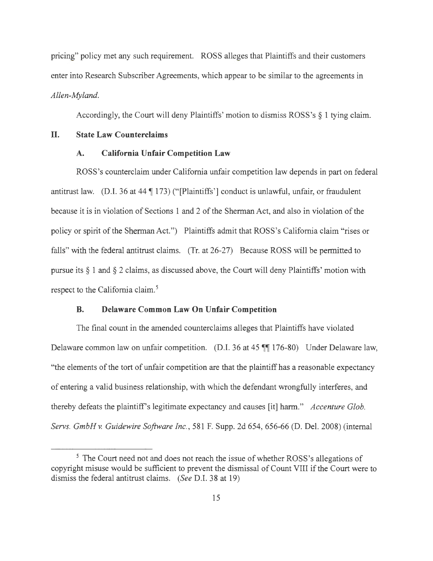pricing" policy met any such requirement. ROSS alleges that Plaintiffs and their customers enter into Research Subscriber Agreements, which appear to be similar to the agreements in *Allen-Myland.* 

Accordingly, the Court will deny Plaintiffs' motion to dismiss ROSS's § 1 tying claim.

## **II. State Law Counterclaims**

#### **A. California Unfair Competition Law**

ROSS's counterclaim under California unfair competition law depends in part on federal antitrust law. (D.I. 36 at 44  $\P$  173) ("[Plaintiffs'] conduct is unlawful, unfair, or fraudulent because it is in violation of Sections 1 and 2 of the Sherman Act, and also in violation of the policy or spirit of the Sherman Act.") Plaintiffs admit that ROSS's California claim "rises or falls" with the federal antitrust claims. (Tr. at 26-27) Because ROSS will be permitted to pursue its § 1 and § 2 claims, as discussed above, the Court will deny Plaintiffs' motion with respect to the California claim.<sup>5</sup>

### **B. Delaware Common Law On Unfair Competition**

The final count in the amended counterclaims alleges that Plaintiffs have violated Delaware common law on unfair competition. (D.I. 36 at 45  $\mathbb{II}$  176-80) Under Delaware law, "the elements of the tort of unfair competition are that the plaintiff has a reasonable expectancy of entering a valid business relationship, with which the defendant wrongfully interferes, and thereby defeats the plaintiff's legitimate expectancy and causes [it] harm." *Accenture Glob. Servs. GmbH* v. *Guidewire Software Inc.,* 581 F. Supp. 2d 654, 656-66 (D. Del. 2008) (internal

<sup>&</sup>lt;sup>5</sup> The Court need not and does not reach the issue of whether ROSS's allegations of copyright misuse would be sufficient to prevent the dismissal of Count VIII if the Court were to dismiss the federal antitrust claims. *(See* D.I. 38 at 19)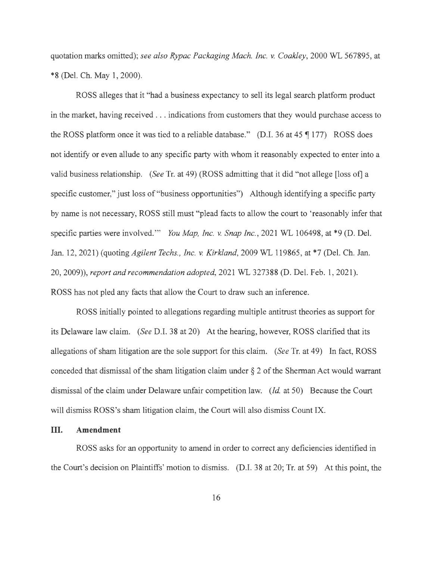quotation marks omitted); *see also Rypac Packaging Mach. Inc. v. Coakley,* 2000 WL 567895, at \* 8 (Del. Ch. May 1, 2000).

ROSS alleges that it "had a business expectancy to sell its legal search platform product in the market, having received . . . indications from customers that they would purchase access to the ROSS platform once it was tied to a reliable database." (D.I. 36 at 45 ¶ 177) ROSS does not identify or even allude to any specific party with whom it reasonably expected to enter into a valid business relationship. *(See* Tr. at 49) (ROSS admitting that it did "not allege [loss of] a specific customer," just loss of "business opportunities") Although identifying a specific party by name is not necessary, ROSS still must "plead facts to allow the court to 'reasonably infer that specific parties were involved."' *You Map, Inc. v. Snap Inc.,* 2021 WL 106498, at \*9 (D. Del. Jan. 12, 2021) (quoting *Agilent Techs. , Inc. v. Kirkland,* 2009 WL 119865, at \*7 (Del. Ch. Jan. 20, 2009)), *report and recommendation adopted,* 2021 WL 327388 (D. Del. Feb. 1, 2021). ROSS has not pied any facts that allow the Court to draw such an inference.

ROSS initially pointed to allegations regarding multiple antitrust theories as support for its Delaware law claim. *(See* D.I. 38 at 20) At the hearing, however, ROSS clarified that its allegations of sham litigation are the sole support for this claim. *(See* Tr. at 49) In fact, ROSS conceded that dismissal of the sham litigation claim under  $\S 2$  of the Sherman Act would warrant dismissal of the claim under Delaware unfair competition law. *(Id.* at 50) Because the Court will dismiss ROSS 's sham litigation claim, the Court will also dismiss Count IX.

#### III. **Amendment**

ROSS asks for an opportunity to amend in order to correct any deficiencies identified in the Court's decision on Plaintiffs' motion to dismiss. (D.I. 38 at 20; Tr. at 59) At this point, the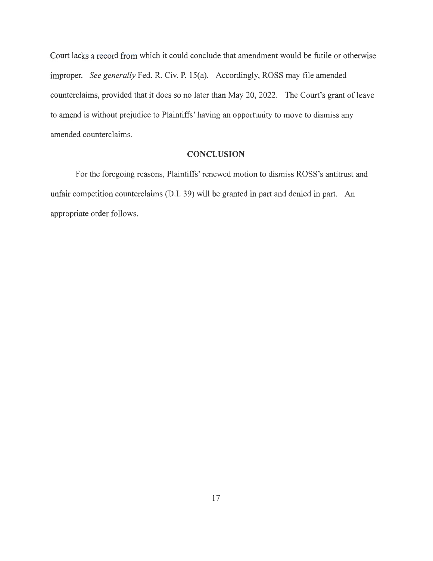Court lacks a record from which it could conclude that amendment would be futile or otherwise improper. *See generally* Fed. R. Civ. P. 15(a). Accordingly, ROSS may file amended counterclaims, provided that it does so no later than May 20, 2022. The Court's grant of leave to amend is without prejudice to Plaintiffs' having an opportunity to move to dismiss any amended counterclaims.

## **CONCLUSION**

For the foregoing reasons, Plaintiffs' renewed motion to dismiss ROSS's antitrust and unfair competition counterclaims (D.I. 39) will be granted in part and denied in part. An appropriate order follows.